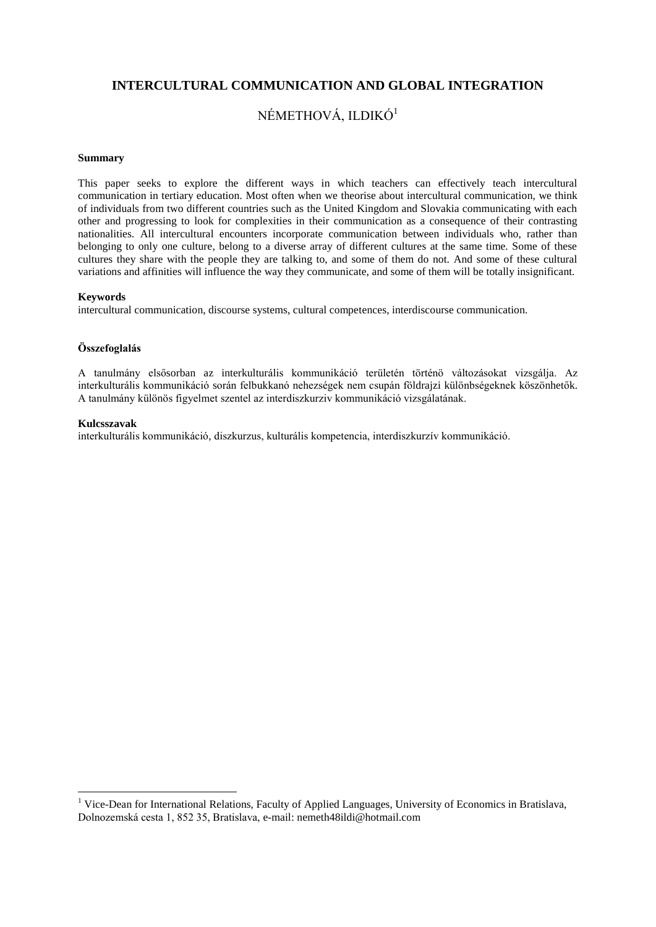# **INTERCULTURAL COMMUNICATION AND GLOBAL INTEGRATION**

# NÉMETHOVÁ, ILDIKÓ<sup>1</sup>

#### **Summary**

This paper seeks to explore the different ways in which teachers can effectively teach intercultural communication in tertiary education. Most often when we theorise about intercultural communication, we think of individuals from two different countries such as the United Kingdom and Slovakia communicating with each other and progressing to look for complexities in their communication as a consequence of their contrasting nationalities. All intercultural encounters incorporate communication between individuals who, rather than belonging to only one culture, belong to a diverse array of different cultures at the same time. Some of these cultures they share with the people they are talking to, and some of them do not. And some of these cultural variations and affinities will influence the way they communicate, and some of them will be totally insignificant.

### **Keywords**

intercultural communication, discourse systems, cultural competences, interdiscourse communication.

### **Összefoglalás**

A tanulmány elsősorban az interkulturális kommunikáció területén történö változásokat vizsgálja. Az interkulturális kommunikáció során felbukkanó nehezségek nem csupán földrajzi különbségeknek köszönhetők. A tanulmány különös figyelmet szentel az interdiszkurziv kommunikáció vizsgálatának.

#### **Kulcsszavak**

1

interkulturális kommunikáció, diszkurzus, kulturális kompetencia, interdiszkurzív kommunikáció.

<sup>&</sup>lt;sup>1</sup> Vice-Dean for International Relations, Faculty of Applied Languages, University of Economics in Bratislava, Dolnozemská cesta 1, 852 35, Bratislava, e-mail[: nemeth48ildi@hotmail.com](mailto:nemeth48ildi@hotmail.com)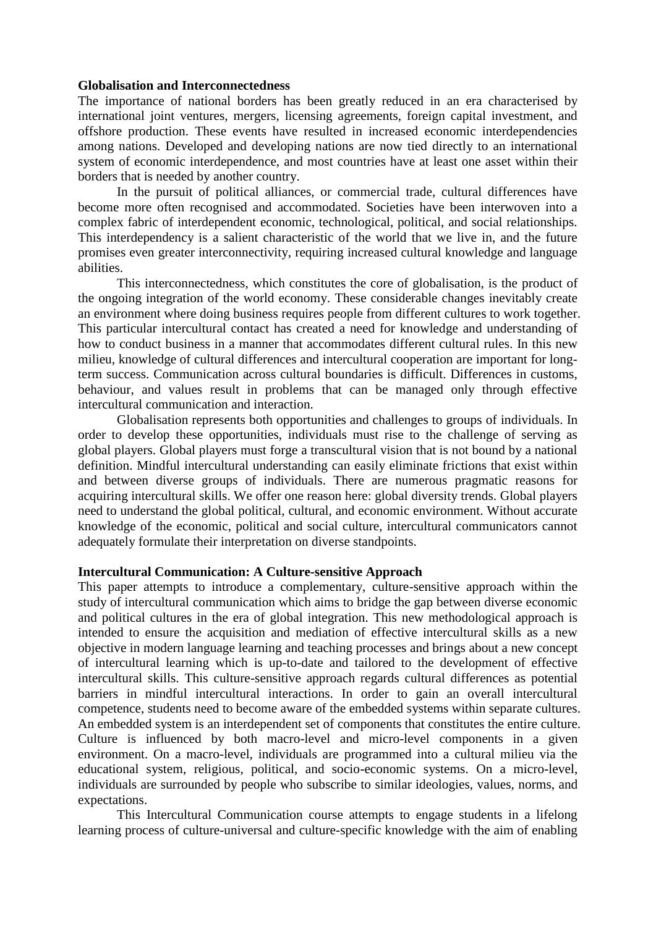### **Globalisation and Interconnectedness**

The importance of national borders has been greatly reduced in an era characterised by international joint ventures, mergers, licensing agreements, foreign capital investment, and offshore production. These events have resulted in increased economic interdependencies among nations. Developed and developing nations are now tied directly to an international system of economic interdependence, and most countries have at least one asset within their borders that is needed by another country.

In the pursuit of political alliances, or commercial trade, cultural differences have become more often recognised and accommodated. Societies have been interwoven into a complex fabric of interdependent economic, technological, political, and social relationships. This interdependency is a salient characteristic of the world that we live in, and the future promises even greater interconnectivity, requiring increased cultural knowledge and language abilities.

This interconnectedness, which constitutes the core of globalisation, is the product of the ongoing integration of the world economy. These considerable changes inevitably create an environment where doing business requires people from different cultures to work together. This particular intercultural contact has created a need for knowledge and understanding of how to conduct business in a manner that accommodates different cultural rules. In this new milieu, knowledge of cultural differences and intercultural cooperation are important for longterm success. Communication across cultural boundaries is difficult. Differences in customs, behaviour, and values result in problems that can be managed only through effective intercultural communication and interaction.

Globalisation represents both opportunities and challenges to groups of individuals. In order to develop these opportunities, individuals must rise to the challenge of serving as global players. Global players must forge a transcultural vision that is not bound by a national definition. Mindful intercultural understanding can easily eliminate frictions that exist within and between diverse groups of individuals. There are numerous pragmatic reasons for acquiring intercultural skills. We offer one reason here: global diversity trends. Global players need to understand the global political, cultural, and economic environment. Without accurate knowledge of the economic, political and social culture, intercultural communicators cannot adequately formulate their interpretation on diverse standpoints.

## **Intercultural Communication: A Culture-sensitive Approach**

This paper attempts to introduce a complementary, culture-sensitive approach within the study of intercultural communication which aims to bridge the gap between diverse economic and political cultures in the era of global integration. This new methodological approach is intended to ensure the acquisition and mediation of effective intercultural skills as a new objective in modern language learning and teaching processes and brings about a new concept of intercultural learning which is up-to-date and tailored to the development of effective intercultural skills. This culture-sensitive approach regards cultural differences as potential barriers in mindful intercultural interactions. In order to gain an overall intercultural competence, students need to become aware of the embedded systems within separate cultures. An embedded system is an interdependent set of components that constitutes the entire culture. Culture is influenced by both macro-level and micro-level components in a given environment. On a macro-level, individuals are programmed into a cultural milieu via the educational system, religious, political, and socio-economic systems. On a micro-level, individuals are surrounded by people who subscribe to similar ideologies, values, norms, and expectations.

This Intercultural Communication course attempts to engage students in a lifelong learning process of culture-universal and culture-specific knowledge with the aim of enabling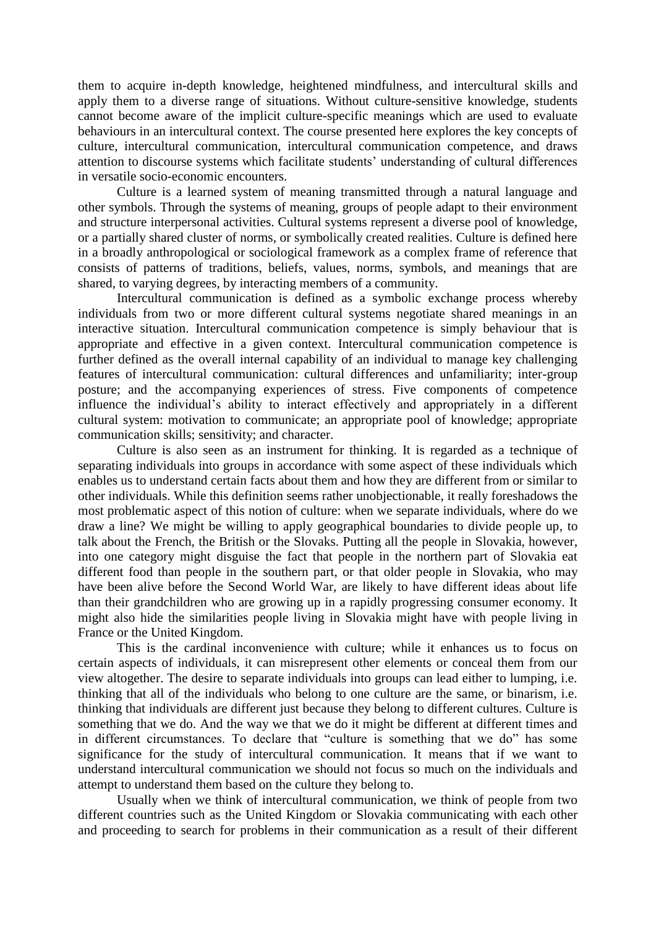them to acquire in-depth knowledge, heightened mindfulness, and intercultural skills and apply them to a diverse range of situations. Without culture-sensitive knowledge, students cannot become aware of the implicit culture-specific meanings which are used to evaluate behaviours in an intercultural context. The course presented here explores the key concepts of culture, intercultural communication, intercultural communication competence, and draws attention to discourse systems which facilitate students' understanding of cultural differences in versatile socio-economic encounters.

Culture is a learned system of meaning transmitted through a natural language and other symbols. Through the systems of meaning, groups of people adapt to their environment and structure interpersonal activities. Cultural systems represent a diverse pool of knowledge, or a partially shared cluster of norms, or symbolically created realities. Culture is defined here in a broadly anthropological or sociological framework as a complex frame of reference that consists of patterns of traditions, beliefs, values, norms, symbols, and meanings that are shared, to varying degrees, by interacting members of a community.

Intercultural communication is defined as a symbolic exchange process whereby individuals from two or more different cultural systems negotiate shared meanings in an interactive situation. Intercultural communication competence is simply behaviour that is appropriate and effective in a given context. Intercultural communication competence is further defined as the overall internal capability of an individual to manage key challenging features of intercultural communication: cultural differences and unfamiliarity; inter-group posture; and the accompanying experiences of stress. Five components of competence influence the individual's ability to interact effectively and appropriately in a different cultural system: motivation to communicate; an appropriate pool of knowledge; appropriate communication skills; sensitivity; and character.

Culture is also seen as an instrument for thinking. It is regarded as a technique of separating individuals into groups in accordance with some aspect of these individuals which enables us to understand certain facts about them and how they are different from or similar to other individuals. While this definition seems rather unobjectionable, it really foreshadows the most problematic aspect of this notion of culture: when we separate individuals, where do we draw a line? We might be willing to apply geographical boundaries to divide people up, to talk about the French, the British or the Slovaks. Putting all the people in Slovakia, however, into one category might disguise the fact that people in the northern part of Slovakia eat different food than people in the southern part, or that older people in Slovakia, who may have been alive before the Second World War, are likely to have different ideas about life than their grandchildren who are growing up in a rapidly progressing consumer economy. It might also hide the similarities people living in Slovakia might have with people living in France or the United Kingdom.

This is the cardinal inconvenience with culture; while it enhances us to focus on certain aspects of individuals, it can misrepresent other elements or conceal them from our view altogether. The desire to separate individuals into groups can lead either to lumping, i.e. thinking that all of the individuals who belong to one culture are the same, or binarism, i.e. thinking that individuals are different just because they belong to different cultures. Culture is something that we do. And the way we that we do it might be different at different times and in different circumstances. To declare that "culture is something that we do" has some significance for the study of intercultural communication. It means that if we want to understand intercultural communication we should not focus so much on the individuals and attempt to understand them based on the culture they belong to.

Usually when we think of intercultural communication, we think of people from two different countries such as the United Kingdom or Slovakia communicating with each other and proceeding to search for problems in their communication as a result of their different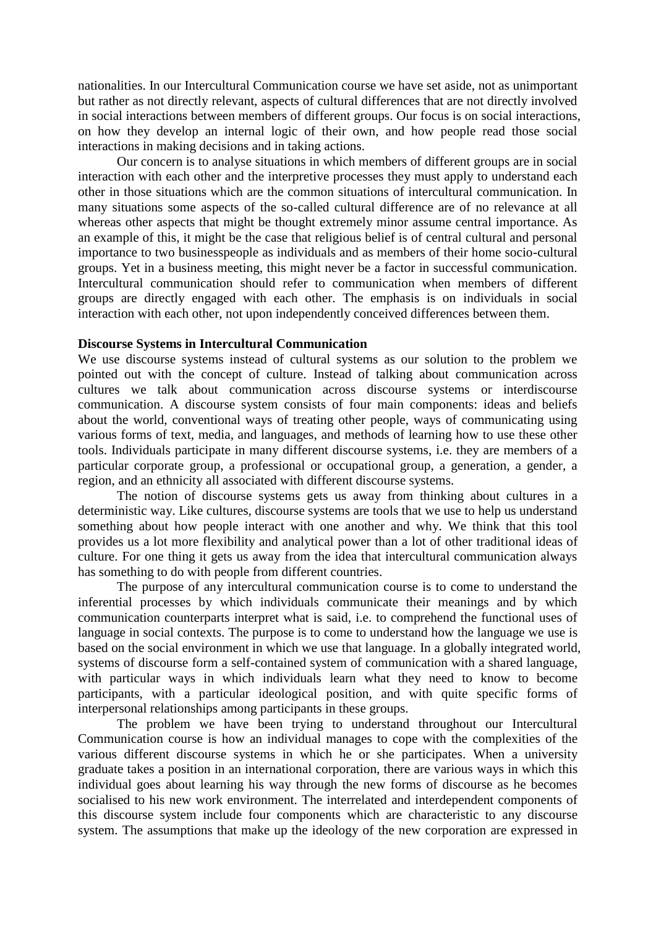nationalities. In our Intercultural Communication course we have set aside, not as unimportant but rather as not directly relevant, aspects of cultural differences that are not directly involved in social interactions between members of different groups. Our focus is on social interactions, on how they develop an internal logic of their own, and how people read those social interactions in making decisions and in taking actions.

Our concern is to analyse situations in which members of different groups are in social interaction with each other and the interpretive processes they must apply to understand each other in those situations which are the common situations of intercultural communication. In many situations some aspects of the so-called cultural difference are of no relevance at all whereas other aspects that might be thought extremely minor assume central importance. As an example of this, it might be the case that religious belief is of central cultural and personal importance to two businesspeople as individuals and as members of their home socio-cultural groups. Yet in a business meeting, this might never be a factor in successful communication. Intercultural communication should refer to communication when members of different groups are directly engaged with each other. The emphasis is on individuals in social interaction with each other, not upon independently conceived differences between them.

# **Discourse Systems in Intercultural Communication**

We use discourse systems instead of cultural systems as our solution to the problem we pointed out with the concept of culture. Instead of talking about communication across cultures we talk about communication across discourse systems or interdiscourse communication. A discourse system consists of four main components: ideas and beliefs about the world, conventional ways of treating other people, ways of communicating using various forms of text, media, and languages, and methods of learning how to use these other tools. Individuals participate in many different discourse systems, i.e. they are members of a particular corporate group, a professional or occupational group, a generation, a gender, a region, and an ethnicity all associated with different discourse systems.

The notion of discourse systems gets us away from thinking about cultures in a deterministic way. Like cultures, discourse systems are tools that we use to help us understand something about how people interact with one another and why. We think that this tool provides us a lot more flexibility and analytical power than a lot of other traditional ideas of culture. For one thing it gets us away from the idea that intercultural communication always has something to do with people from different countries.

The purpose of any intercultural communication course is to come to understand the inferential processes by which individuals communicate their meanings and by which communication counterparts interpret what is said, i.e. to comprehend the functional uses of language in social contexts. The purpose is to come to understand how the language we use is based on the social environment in which we use that language. In a globally integrated world, systems of discourse form a self-contained system of communication with a shared language, with particular ways in which individuals learn what they need to know to become participants, with a particular ideological position, and with quite specific forms of interpersonal relationships among participants in these groups.

The problem we have been trying to understand throughout our Intercultural Communication course is how an individual manages to cope with the complexities of the various different discourse systems in which he or she participates. When a university graduate takes a position in an international corporation, there are various ways in which this individual goes about learning his way through the new forms of discourse as he becomes socialised to his new work environment. The interrelated and interdependent components of this discourse system include four components which are characteristic to any discourse system. The assumptions that make up the ideology of the new corporation are expressed in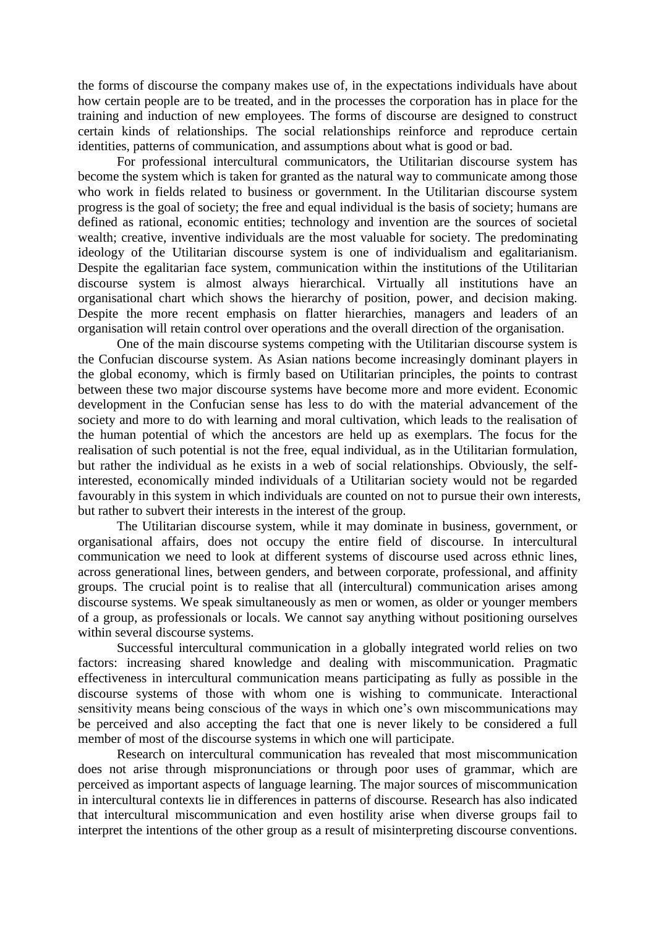the forms of discourse the company makes use of, in the expectations individuals have about how certain people are to be treated, and in the processes the corporation has in place for the training and induction of new employees. The forms of discourse are designed to construct certain kinds of relationships. The social relationships reinforce and reproduce certain identities, patterns of communication, and assumptions about what is good or bad.

For professional intercultural communicators, the Utilitarian discourse system has become the system which is taken for granted as the natural way to communicate among those who work in fields related to business or government. In the Utilitarian discourse system progress is the goal of society; the free and equal individual is the basis of society; humans are defined as rational, economic entities; technology and invention are the sources of societal wealth; creative, inventive individuals are the most valuable for society. The predominating ideology of the Utilitarian discourse system is one of individualism and egalitarianism. Despite the egalitarian face system, communication within the institutions of the Utilitarian discourse system is almost always hierarchical. Virtually all institutions have an organisational chart which shows the hierarchy of position, power, and decision making. Despite the more recent emphasis on flatter hierarchies, managers and leaders of an organisation will retain control over operations and the overall direction of the organisation.

One of the main discourse systems competing with the Utilitarian discourse system is the Confucian discourse system. As Asian nations become increasingly dominant players in the global economy, which is firmly based on Utilitarian principles, the points to contrast between these two major discourse systems have become more and more evident. Economic development in the Confucian sense has less to do with the material advancement of the society and more to do with learning and moral cultivation, which leads to the realisation of the human potential of which the ancestors are held up as exemplars. The focus for the realisation of such potential is not the free, equal individual, as in the Utilitarian formulation, but rather the individual as he exists in a web of social relationships. Obviously, the selfinterested, economically minded individuals of a Utilitarian society would not be regarded favourably in this system in which individuals are counted on not to pursue their own interests, but rather to subvert their interests in the interest of the group.

The Utilitarian discourse system, while it may dominate in business, government, or organisational affairs, does not occupy the entire field of discourse. In intercultural communication we need to look at different systems of discourse used across ethnic lines, across generational lines, between genders, and between corporate, professional, and affinity groups. The crucial point is to realise that all (intercultural) communication arises among discourse systems. We speak simultaneously as men or women, as older or younger members of a group, as professionals or locals. We cannot say anything without positioning ourselves within several discourse systems.

Successful intercultural communication in a globally integrated world relies on two factors: increasing shared knowledge and dealing with miscommunication. Pragmatic effectiveness in intercultural communication means participating as fully as possible in the discourse systems of those with whom one is wishing to communicate. Interactional sensitivity means being conscious of the ways in which one's own miscommunications may be perceived and also accepting the fact that one is never likely to be considered a full member of most of the discourse systems in which one will participate.

Research on intercultural communication has revealed that most miscommunication does not arise through mispronunciations or through poor uses of grammar, which are perceived as important aspects of language learning. The major sources of miscommunication in intercultural contexts lie in differences in patterns of discourse. Research has also indicated that intercultural miscommunication and even hostility arise when diverse groups fail to interpret the intentions of the other group as a result of misinterpreting discourse conventions.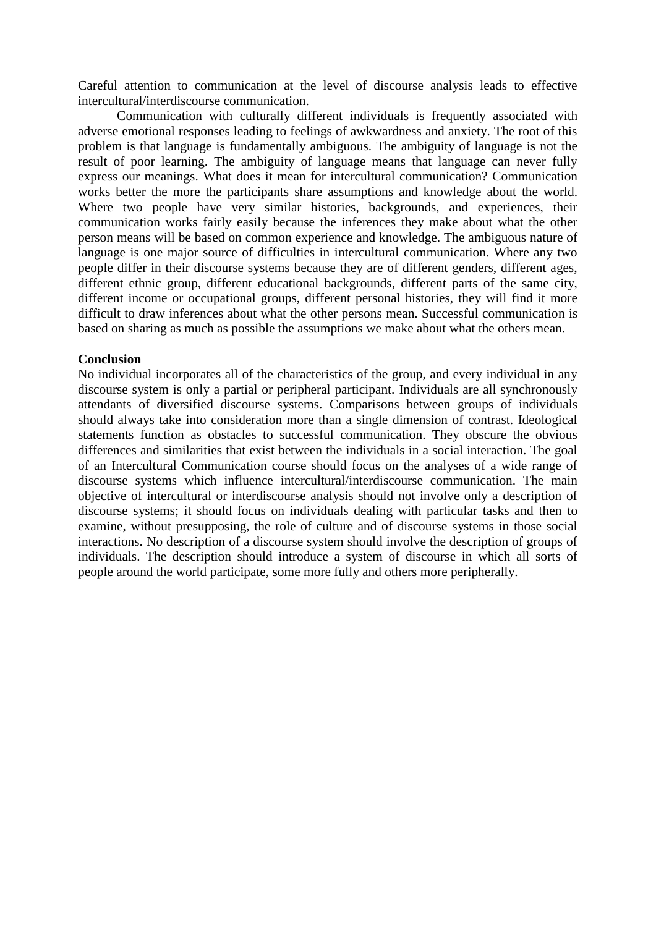Careful attention to communication at the level of discourse analysis leads to effective intercultural/interdiscourse communication.

Communication with culturally different individuals is frequently associated with adverse emotional responses leading to feelings of awkwardness and anxiety. The root of this problem is that language is fundamentally ambiguous. The ambiguity of language is not the result of poor learning. The ambiguity of language means that language can never fully express our meanings. What does it mean for intercultural communication? Communication works better the more the participants share assumptions and knowledge about the world. Where two people have very similar histories, backgrounds, and experiences, their communication works fairly easily because the inferences they make about what the other person means will be based on common experience and knowledge. The ambiguous nature of language is one major source of difficulties in intercultural communication. Where any two people differ in their discourse systems because they are of different genders, different ages, different ethnic group, different educational backgrounds, different parts of the same city, different income or occupational groups, different personal histories, they will find it more difficult to draw inferences about what the other persons mean. Successful communication is based on sharing as much as possible the assumptions we make about what the others mean.

### **Conclusion**

No individual incorporates all of the characteristics of the group, and every individual in any discourse system is only a partial or peripheral participant. Individuals are all synchronously attendants of diversified discourse systems. Comparisons between groups of individuals should always take into consideration more than a single dimension of contrast. Ideological statements function as obstacles to successful communication. They obscure the obvious differences and similarities that exist between the individuals in a social interaction. The goal of an Intercultural Communication course should focus on the analyses of a wide range of discourse systems which influence intercultural/interdiscourse communication. The main objective of intercultural or interdiscourse analysis should not involve only a description of discourse systems; it should focus on individuals dealing with particular tasks and then to examine, without presupposing, the role of culture and of discourse systems in those social interactions. No description of a discourse system should involve the description of groups of individuals. The description should introduce a system of discourse in which all sorts of people around the world participate, some more fully and others more peripherally.